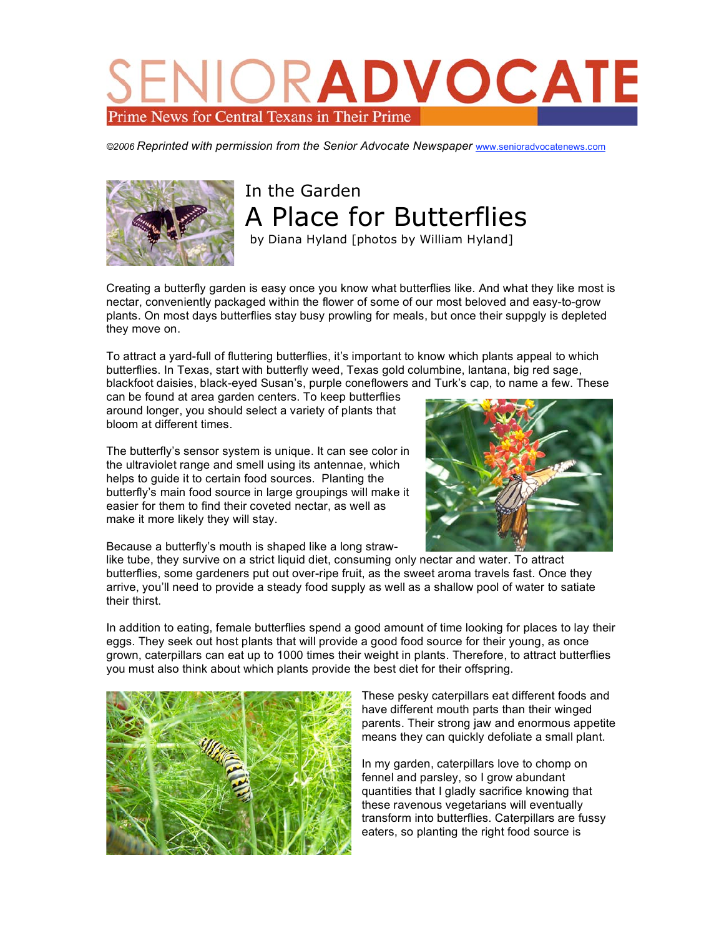## RADVOCAT Prime News for Central Texans in Their Prime

*©2006 Reprinted with permission from the Senior Advocate Newspaper* www.senioradvocatenews.com



## In the Garden A Place for Butterflies

by Diana Hyland [photos by William Hyland]

Creating a butterfly garden is easy once you know what butterflies like. And what they like most is nectar, conveniently packaged within the flower of some of our most beloved and easy-to-grow plants. On most days butterflies stay busy prowling for meals, but once their suppgly is depleted they move on.

To attract a yard-full of fluttering butterflies, it's important to know which plants appeal to which butterflies. In Texas, start with butterfly weed, Texas gold columbine, lantana, big red sage, blackfoot daisies, black-eyed Susan's, purple coneflowers and Turk's cap, to name a few. These

can be found at area garden centers. To keep butterflies around longer, you should select a variety of plants that bloom at different times.

The butterfly's sensor system is unique. It can see color in the ultraviolet range and smell using its antennae, which helps to guide it to certain food sources. Planting the butterfly's main food source in large groupings will make it easier for them to find their coveted nectar, as well as make it more likely they will stay.



Because a butterfly's mouth is shaped like a long straw-

like tube, they survive on a strict liquid diet, consuming only nectar and water. To attract butterflies, some gardeners put out over-ripe fruit, as the sweet aroma travels fast. Once they arrive, you'll need to provide a steady food supply as well as a shallow pool of water to satiate their thirst.

In addition to eating, female butterflies spend a good amount of time looking for places to lay their eggs. They seek out host plants that will provide a good food source for their young, as once grown, caterpillars can eat up to 1000 times their weight in plants. Therefore, to attract butterflies you must also think about which plants provide the best diet for their offspring.



These pesky caterpillars eat different foods and have different mouth parts than their winged parents. Their strong jaw and enormous appetite means they can quickly defoliate a small plant.

In my garden, caterpillars love to chomp on fennel and parsley, so I grow abundant quantities that I gladly sacrifice knowing that these ravenous vegetarians will eventually transform into butterflies. Caterpillars are fussy eaters, so planting the right food source is